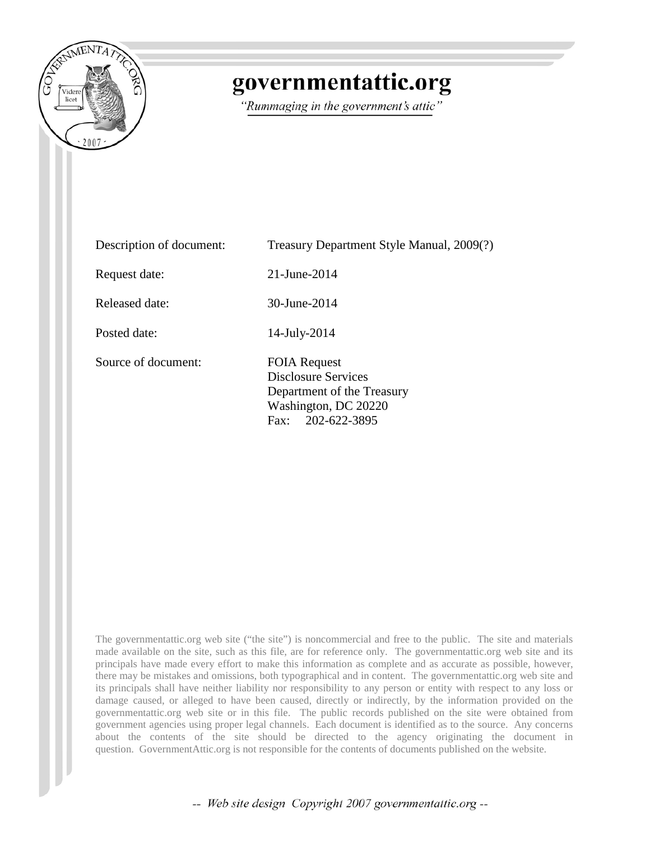

# governmentattic.org

"Rummaging in the government's attic"

Description of document: Treasury Department Style Manual, 2009(?) Request date: 21-June-2014 Released date: 30-June-2014 Posted date: 14-July-2014 Source of document: FOIA Request Disclosure Services Department of the Treasury Washington, DC 20220 Fax: 202-622-3895

The governmentattic.org web site ("the site") is noncommercial and free to the public. The site and materials made available on the site, such as this file, are for reference only. The governmentattic.org web site and its principals have made every effort to make this information as complete and as accurate as possible, however, there may be mistakes and omissions, both typographical and in content. The governmentattic.org web site and its principals shall have neither liability nor responsibility to any person or entity with respect to any loss or damage caused, or alleged to have been caused, directly or indirectly, by the information provided on the governmentattic.org web site or in this file. The public records published on the site were obtained from government agencies using proper legal channels. Each document is identified as to the source. Any concerns about the contents of the site should be directed to the agency originating the document in question. GovernmentAttic.org is not responsible for the contents of documents published on the website.

-- Web site design Copyright 2007 governmentattic.org --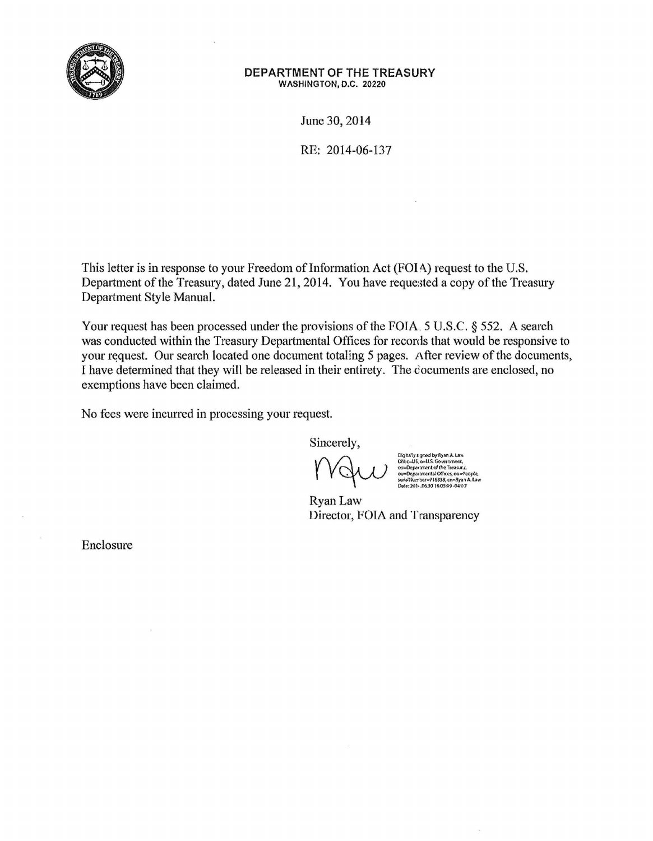

# **DEPARTMENT OF THE TREASURY**  WASHINGTON, D.C. 20220

June 30, 2014

RE: 2014-06-137

This letter is in response to your Freedom of Information Act (FOIA) request to the U.S. Department of the Treasury, dated June 21, 2014. You have requested a copy of the Treasury Department Style Manual.

Your request has been processed under the provisions of the FOIA. 5 U.S.C. § 552. A search was conducted within the Treasury Departmental Offices for records that would be responsive to your request. Our search located one document totaling 5 pages. After review of the documents, I have determined that they will be released in their entirety. The documents are enclosed, no exemptions have been claimed.

No fees were incurred in processing your request.

Sincerely,

Digitary's given by myan A. Law<br>Other Digitary of the Government,<br>OU=Department of the Treasury,<br>ou=Departmental Offices, ou=People,<br>serialWar ber=716333, cn=8yan A. Law<br>Date: 201-.0639 16.0559-0403

Ryan Law Director, FOIA and Transparency

Enclosure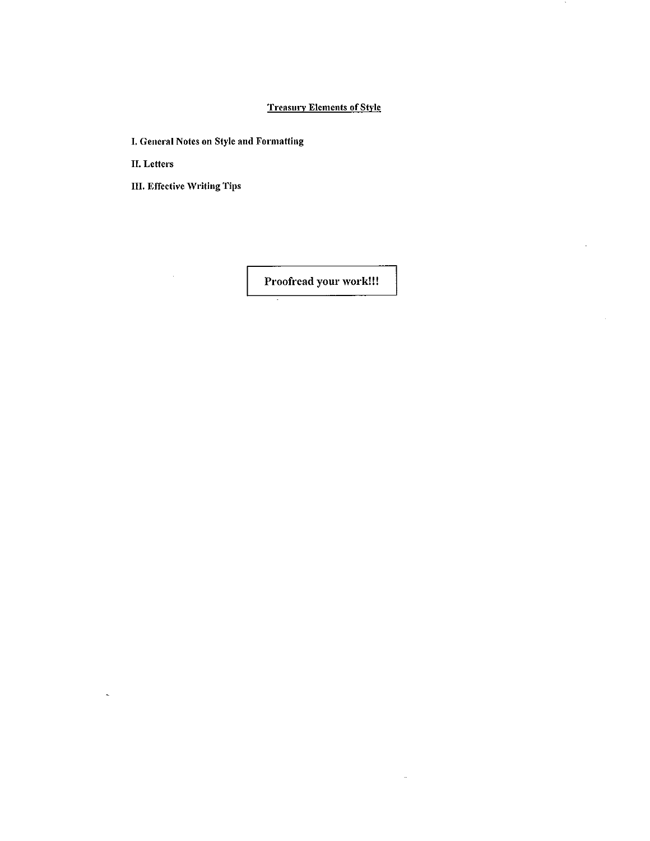# **Treasury Elements of Style**

 $\mathcal{A}$ 

 $\bar{z}$ 

 $\hat{\mathcal{A}}$ 

I. General Notes on Style and Formatting

II. Letters

III. Effective Writing Tips

 $\hat{\boldsymbol{\beta}}$ 

 $\ddot{\sim}$ 

Proofread your work!!!

 $\sim$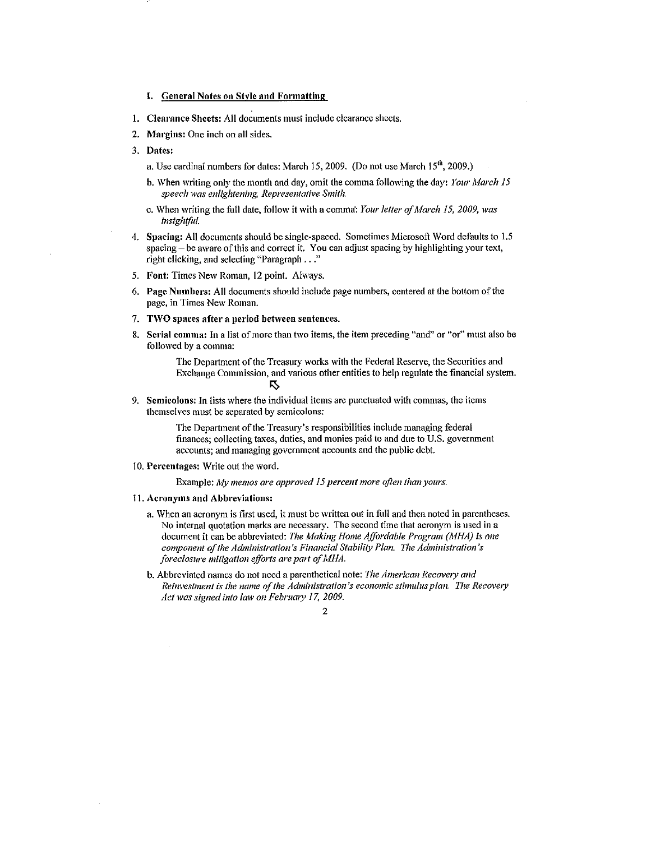# I. General Notes on Style and Formatting

- 1. Clearance Sheets: All documents must include clearance sheets.
- 2. Margins: One inch on all sides.
- 3. Dates:
	- a. Use cardinal numbers for dates: March 15, 2009. (Do not use March 15<sup>th</sup>, 2009.)
	- b. When writing only the month and day, omit the comma following the day: *Your March 15 speech lVas enlightening, Representative Sn1ith.*
	- c. When writing the full date, follow it with a comma': *Your letter of March I 5, 2009, was insightful.*
- 4. Spacing: All documents should be single-spaced. Sometimes Microsoft Word defaults to 1.5  $space - be aware of this and correct it. You can adjust spacing by highlighting your text,$ right clicking, and selecting "Paragraph ... "
- 5. Font: Times New Roman, 12 point. Always.
- 6. Page Numbers: All documents should include page numbers, centered at the bottom of the page, in Times New Roman.
- 7. TWO spaces after a period between sentences.
- 8. Serial comma: In a list of more than two items, the item preceding "and" or "or" must also be followed by a comma:

The Department of the Treasury works with the Federal Reserve, the Securities and Exchange Commission, and various other entities to help regulate the financial system.  $\overline{\bf 5}$ 

9. Semicolons: In lists where the individual items are punctuated with commas, the items themselves must be separated by semicolons:

> The Department of the Treasury's responsibilities include managing federal finances; collecting taxes, duties, and monies paid to and due to U.S. government accounts; and managing government accounts and the public debt.

10. Percentages: Write out the word.

Example: *My memos are approved 15 percent more often than yours.* 

- 11. Acronynts and Abbreviations:
	- a. When an acronym is first used, it must be written out in full and then noted in parentheses. No internal quotation marks are necessary. The second time that acronym is used in a document it can be abbreviated: *The Making Home Affordable Program (MHA) is one* component of the Administration's Financial Stability Plan. The Administration's *foreclosure mitigation efforts are part of MHA.*
	- b. Abbreviated names do not need a parenthetical note: *The American Recovery and Reinvestment is the name of the Administration's economic stimulus plan. The Recovery* Act was signed into law on February 17, 2009.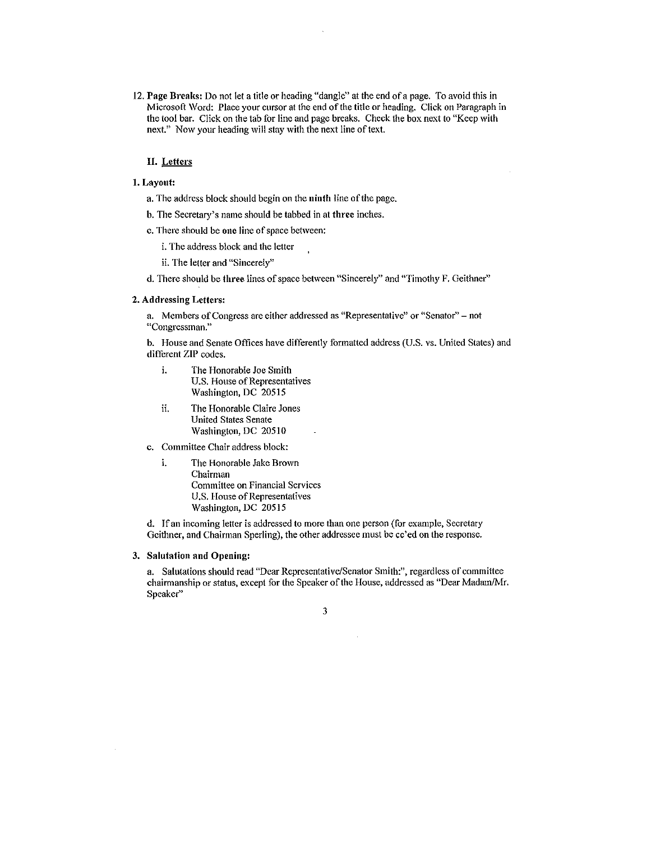12. Page Breaks: Do not let a title or heading "dangle" at the end of a page. 'fo avoid this in Microsoft \Vord: Place your cursor at the end of the title or heading. Click on Paragraph in the tool bar. Click on the tab for line and page breaks. Check the box next to "Keep with next." Now your heading will stay with the next line of text.

# II. Letters

### 1. Layout:

- a. The address block should begin on the ninth line of the page.
- b. The Secretary's name should be tabbed in at three inches.
- c. There should be one line of space between:
	- i. The address block and the letter
	- ii. The letter and "Sincerely"
- d. There should be three lines of space between "Sincerely" and "Timothy F. Geithncr"

#### 2. Addressing Letters:

a. Members of Congress are either addressed as "Representative" or "Senator" - not "Congressman."

b. House and Senate Offices have differently formatted address (U.S. vs. United States) and different ZIP codes.

- i. The Honorable Joe Smith U.S. House of Representatives Washington, DC 20515
- ii. The Honorable Claire Jones United States Senate Washington, DC 20510
- c. Committee Chair address block:
	- i. The Honorable Jake Brown Chairman Committee on Financial Services U.S. House of Representatives Washington, DC 20515

d. If an incoming letter is addressed to more than one person (for example, Secretary Geithner, and Chairman Sperling), the other addressee must be cc'ed on the response.

#### 3. Salutation and Opening:

a. Salutations should read "Dear Representative/Senator Smith:", regardless of committee chairmanship or status, except for the Speaker of the House, addressed as "Dear Madam/Mr. Speaker"

 $\bar{z}$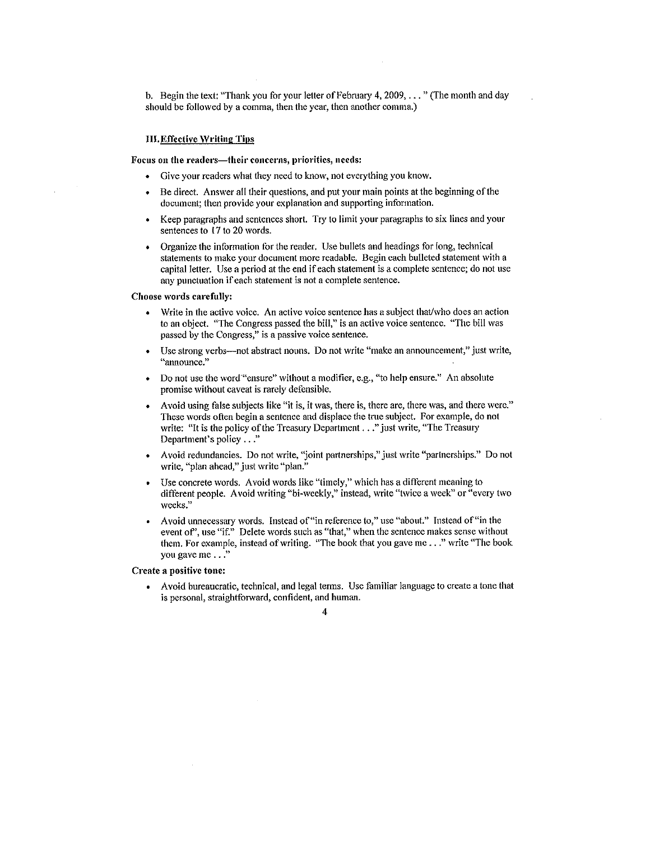b. Begin the text: "Thank you for your letter of February 4,  $2009, \ldots$ " (The month and day should be followed by a comma, then the year, then another comma.)

#### **III.** Effective Writing Tips

#### Focus on the readers-their concerns, priorities, needs:

- Give your readers what they need to know, not everything you know.
- Be direct. Answer all their questions, and put your main points at the beginning of the document; then provide your explanation and supporting information.
- Keep paragraphs and sentences short. Try to limit your paragraphs to six lines and your sentences to 17 to 20 words.
- Organize the information for the reader. Use bullets and headings for long, technical statements to make your document more readable. Begin each bulleted statement with a capital letter. Use a period at the end if each statement is a complete sentence; do not use any punctuation if each statement is not a complete sentence.

#### Choose words carefully:

- Write in the active voice. An active voice sentence has a subject that/who does an action to an object. "The Congress passed the bill," is an active voice sentence. "The bill was passed by the Congress," is a passive voice sentence.
- Use strong verbs---not abstract nouns. Do not write "make an announcement," just write, "announce."
- Do not use the word."ensure" without a modifier, e.g., "to help ensure." An absolute promise without caveat is rarely defensible.
- Avoid using false subjects like "it is, it was, there is, there are, there was, and there were." These words often begin a sentence and displace the true subject. For example, do not write: "It is the policy of the Treasury Department . . ." just write, "The Treasury Department's policy ..."
- Avoid redundancies. Do not write, "joint partnerships," just write "partnerships." Do not write, "plan ahead," just write "plan."
- Use concrete words. Avoid words like "timely," which has a different meaning to different people. Avoid writing "bi-weekly," instead, write "twice a week" or "every two weeks."
- Avoid unnecessary words. Instead of "in reference to," use "about." Instead of "in the event of", use "if." Delete words such as "that," when the sentence makes sense without them. For example, instead of writing. "The book that you gave me ..." write "The book you gave me . . ."

# Create a positive tone:

• Avoid bureaucratic, technical, and legal tenns. *Use* fatniliar language to create a tone that is personal, straightforward, confident, and human.